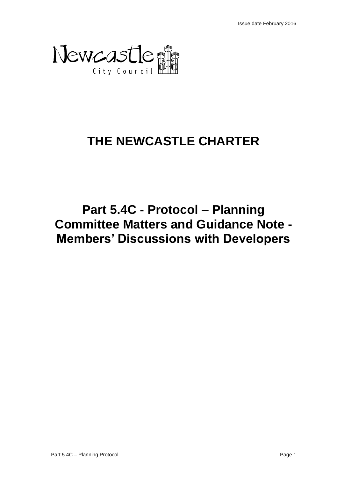

# **THE NEWCASTLE CHARTER**

# **Part 5.4C - Protocol – Planning Committee Matters and Guidance Note - Members' Discussions with Developers**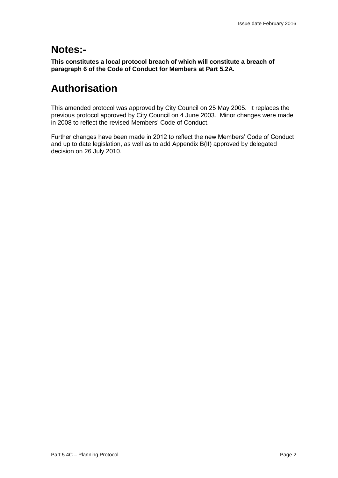## **Notes:-**

**This constitutes a local protocol breach of which will constitute a breach of paragraph 6 of the Code of Conduct for Members at Part 5.2A.**

## **Authorisation**

This amended protocol was approved by City Council on 25 May 2005. It replaces the previous protocol approved by City Council on 4 June 2003. Minor changes were made in 2008 to reflect the revised Members' Code of Conduct.

Further changes have been made in 2012 to reflect the new Members' Code of Conduct and up to date legislation, as well as to add Appendix B(II) approved by delegated decision on 26 July 2010.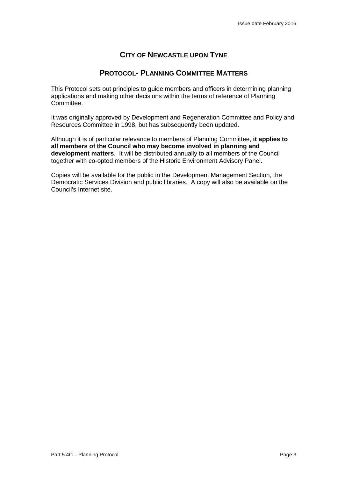## **CITY OF NEWCASTLE UPON TYNE**

## **PROTOCOL- PLANNING COMMITTEE MATTERS**

This Protocol sets out principles to guide members and officers in determining planning applications and making other decisions within the terms of reference of Planning Committee.

It was originally approved by Development and Regeneration Committee and Policy and Resources Committee in 1998, but has subsequently been updated.

Although it is of particular relevance to members of Planning Committee, **it applies to all members of the Council who may become involved in planning and development matters**. It will be distributed annually to all members of the Council together with co-opted members of the Historic Environment Advisory Panel.

Copies will be available for the public in the Development Management Section, the Democratic Services Division and public libraries. A copy will also be available on the Council's Internet site.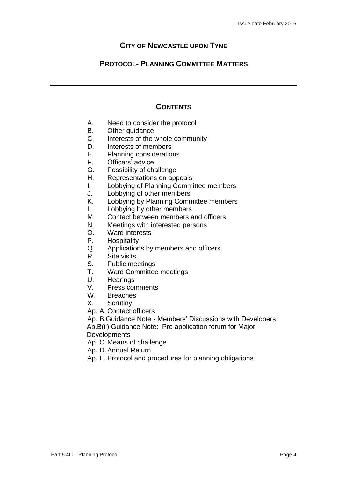## **CITY OF NEWCASTLE UPON TYNE**

## **PROTOCOL- PLANNING COMMITTEE MATTERS**

## **CONTENTS**

- A. Need to consider the protocol
- B. Other guidance
- C. Interests of the whole community
- D. Interests of members
- E. Planning considerations<br>F. Officers' advice
- Officers' advice
- G. Possibility of challenge
- H. Representations on appeals
- I. Lobbying of Planning Committee members
- J. Lobbying of other members
- K. Lobbying by Planning Committee members
- L. Lobbying by other members
- M. Contact between members and officers
- N. Meetings with interested persons
- O. Ward interests
- P. Hospitality
- Q. Applications by members and officers
- R. Site visits<br>S. Public me
- S. Public meetings<br>T. Ward Committee
- Ward Committee meetings
- U. Hearings
- V. Press comments
- W. Breaches
- X. Scrutiny
- Ap. A. Contact officers

Ap. B.Guidance Note - Members' Discussions with Developers Ap.B(ii) Guidance Note: Pre application forum for Major **Developments** 

- Ap. C. Means of challenge
- Ap. D.Annual Return
- Ap. E. Protocol and procedures for planning obligations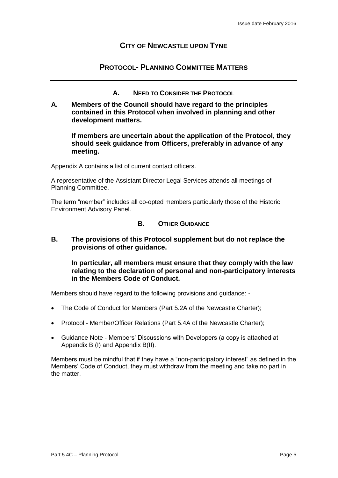## **CITY OF NEWCASTLE UPON TYNE**

## **PROTOCOL- PLANNING COMMITTEE MATTERS**

- **A. NEED TO CONSIDER THE PROTOCOL**
- **A. Members of the Council should have regard to the principles contained in this Protocol when involved in planning and other development matters.**

**If members are uncertain about the application of the Protocol, they should seek guidance from Officers, preferably in advance of any meeting.**

Appendix A contains a list of current contact officers.

A representative of the Assistant Director Legal Services attends all meetings of Planning Committee.

The term "member" includes all co-opted members particularly those of the Historic Environment Advisory Panel.

## **B. OTHER GUIDANCE**

**B. The provisions of this Protocol supplement but do not replace the provisions of other guidance.** 

**In particular, all members must ensure that they comply with the law relating to the declaration of personal and non-participatory interests in the Members Code of Conduct.**

Members should have regard to the following provisions and guidance: -

- The Code of Conduct for Members (Part 5.2A of the Newcastle Charter);
- Protocol Member/Officer Relations (Part 5.4A of the Newcastle Charter);
- Guidance Note Members' Discussions with Developers (a copy is attached at Appendix B (I) and Appendix B(II).

Members must be mindful that if they have a "non-participatory interest" as defined in the Members' Code of Conduct, they must withdraw from the meeting and take no part in the matter.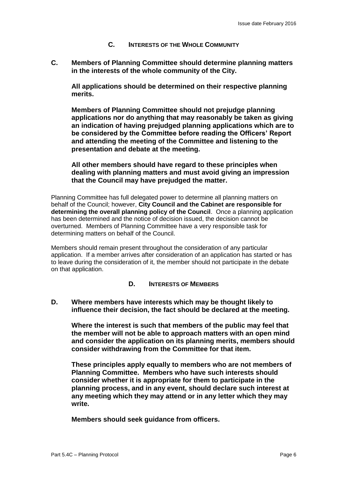## **C. INTERESTS OF THE WHOLE COMMUNITY**

**C. Members of Planning Committee should determine planning matters in the interests of the whole community of the City.** 

**All applications should be determined on their respective planning merits.**

**Members of Planning Committee should not prejudge planning applications nor do anything that may reasonably be taken as giving an indication of having prejudged planning applications which are to be considered by the Committee before reading the Officers' Report and attending the meeting of the Committee and listening to the presentation and debate at the meeting.**

**All other members should have regard to these principles when dealing with planning matters and must avoid giving an impression that the Council may have prejudged the matter.**

Planning Committee has full delegated power to determine all planning matters on behalf of the Council; however, **City Council and the Cabinet are responsible for determining the overall planning policy of the Council**. Once a planning application has been determined and the notice of decision issued, the decision cannot be overturned. Members of Planning Committee have a very responsible task for determining matters on behalf of the Council.

Members should remain present throughout the consideration of any particular application. If a member arrives after consideration of an application has started or has to leave during the consideration of it, the member should not participate in the debate on that application.

#### **D. INTERESTS OF MEMBERS**

**D. Where members have interests which may be thought likely to influence their decision, the fact should be declared at the meeting.** 

**Where the interest is such that members of the public may feel that the member will not be able to approach matters with an open mind and consider the application on its planning merits, members should consider withdrawing from the Committee for that item.** 

**These principles apply equally to members who are not members of Planning Committee. Members who have such interests should consider whether it is appropriate for them to participate in the planning process, and in any event, should declare such interest at any meeting which they may attend or in any letter which they may write.**

**Members should seek guidance from officers.**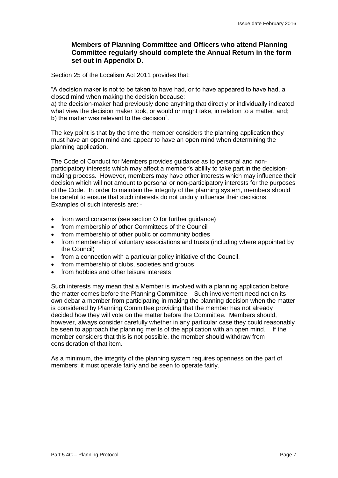## **Members of Planning Committee and Officers who attend Planning Committee regularly should complete the Annual Return in the form set out in Appendix D.**

Section 25 of the Localism Act 2011 provides that:

"A decision maker is not to be taken to have had, or to have appeared to have had, a closed mind when making the decision because:

a) the decision-maker had previously done anything that directly or individually indicated what view the decision maker took, or would or might take, in relation to a matter, and; b) the matter was relevant to the decision".

The key point is that by the time the member considers the planning application they must have an open mind and appear to have an open mind when determining the planning application.

The Code of Conduct for Members provides guidance as to personal and nonparticipatory interests which may affect a member's ability to take part in the decisionmaking process. However, members may have other interests which may influence their decision which will not amount to personal or non-participatory interests for the purposes of the Code. In order to maintain the integrity of the planning system, members should be careful to ensure that such interests do not unduly influence their decisions. Examples of such interests are: -

- from ward concerns (see section O for further guidance)
- from membership of other Committees of the Council
- from membership of other public or community bodies
- from membership of voluntary associations and trusts (including where appointed by the Council)
- from a connection with a particular policy initiative of the Council.
- from membership of clubs, societies and groups
- from hobbies and other leisure interests

Such interests may mean that a Member is involved with a planning application before the matter comes before the Planning Committee. Such involvement need not on its own debar a member from participating in making the planning decision when the matter is considered by Planning Committee providing that the member has not already decided how they will vote on the matter before the Committee. Members should, however, always consider carefully whether in any particular case they could reasonably be seen to approach the planning merits of the application with an open mind. If the member considers that this is not possible, the member should withdraw from consideration of that item.

As a minimum, the integrity of the planning system requires openness on the part of members; it must operate fairly and be seen to operate fairly.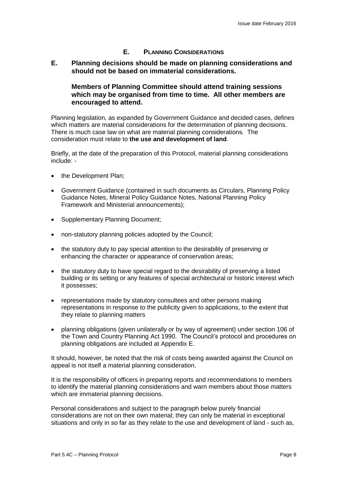## **E. PLANNING CONSIDERATIONS**

**E. Planning decisions should be made on planning considerations and should not be based on immaterial considerations.**

## **Members of Planning Committee should attend training sessions which may be organised from time to time. All other members are encouraged to attend.**

Planning legislation, as expanded by Government Guidance and decided cases, defines which matters are material considerations for the determination of planning decisions. There is much case law on what are material planning considerations. The consideration must relate to **the use and development of land**.

Briefly, at the date of the preparation of this Protocol, material planning considerations include: -

- the Development Plan;
- Government Guidance (contained in such documents as Circulars, Planning Policy Guidance Notes, Mineral Policy Guidance Notes, National Planning Policy Framework and Ministerial announcements);
- Supplementary Planning Document;
- non-statutory planning policies adopted by the Council;
- the statutory duty to pay special attention to the desirability of preserving or enhancing the character or appearance of conservation areas;
- the statutory duty to have special regard to the desirability of preserving a listed building or its setting or any features of special architectural or historic interest which it possesses;
- representations made by statutory consultees and other persons making representations in response to the publicity given to applications, to the extent that they relate to planning matters
- planning obligations (given unilaterally or by way of agreement) under section 106 of the Town and Country Planning Act 1990. The Council's protocol and procedures on planning obligations are included at Appendix E.

It should, however, be noted that the risk of costs being awarded against the Council on appeal is not itself a material planning consideration.

It is the responsibility of officers in preparing reports and recommendations to members to identify the material planning considerations and warn members about those matters which are immaterial planning decisions.

Personal considerations and subject to the paragraph below purely financial considerations are not on their own material; they can only be material in exceptional situations and only in so far as they relate to the use and development of land - such as,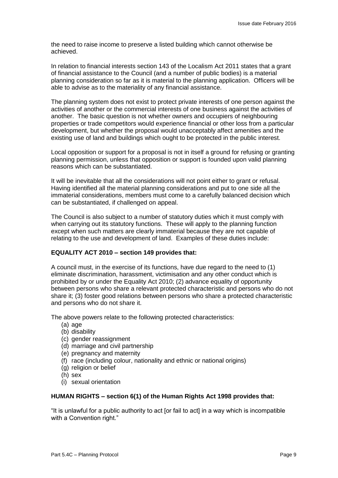the need to raise income to preserve a listed building which cannot otherwise be achieved.

In relation to financial interests section 143 of the Localism Act 2011 states that a grant of financial assistance to the Council (and a number of public bodies) is a material planning consideration so far as it is material to the planning application. Officers will be able to advise as to the materiality of any financial assistance.

The planning system does not exist to protect private interests of one person against the activities of another or the commercial interests of one business against the activities of another. The basic question is not whether owners and occupiers of neighbouring properties or trade competitors would experience financial or other loss from a particular development, but whether the proposal would unacceptably affect amenities and the existing use of land and buildings which ought to be protected in the public interest.

Local opposition or support for a proposal is not in itself a ground for refusing or granting planning permission, unless that opposition or support is founded upon valid planning reasons which can be substantiated.

It will be inevitable that all the considerations will not point either to grant or refusal. Having identified all the material planning considerations and put to one side all the immaterial considerations, members must come to a carefully balanced decision which can be substantiated, if challenged on appeal.

The Council is also subject to a number of statutory duties which it must comply with when carrying out its statutory functions. These will apply to the planning function except when such matters are clearly immaterial because they are not capable of relating to the use and development of land. Examples of these duties include:

#### **EQUALITY ACT 2010 – section 149 provides that:**

A council must, in the exercise of its functions, have due regard to the need to (1) eliminate discrimination, harassment, victimisation and any other conduct which is prohibited by or under the Equality Act 2010; (2) advance equality of opportunity between persons who share a relevant protected characteristic and persons who do not share it; (3) foster good relations between persons who share a protected characteristic and persons who do not share it.

The above powers relate to the following protected characteristics:

- (a) age
- (b) disability
- (c) gender reassignment
- (d) marriage and civil partnership
- (e) pregnancy and maternity
- (f) race (including colour, nationality and ethnic or national origins)
- (g) religion or belief
- (h) sex
- (i) sexual orientation

#### **HUMAN RIGHTS – section 6(1) of the Human Rights Act 1998 provides that:**

"It is unlawful for a public authority to act [or fail to act] in a way which is incompatible with a Convention right."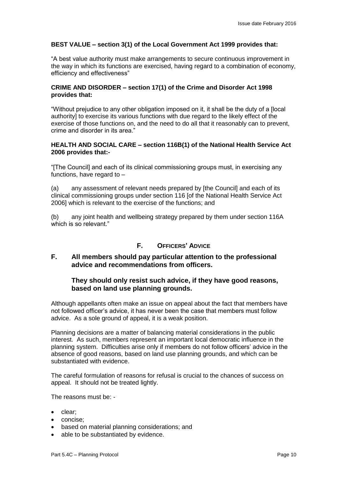#### **BEST VALUE – section 3(1) of the Local Government Act 1999 provides that:**

"A best value authority must make arrangements to secure continuous improvement in the way in which its functions are exercised, having regard to a combination of economy, efficiency and effectiveness"

#### **CRIME AND DISORDER – section 17(1) of the Crime and Disorder Act 1998 provides that:**

"Without prejudice to any other obligation imposed on it, it shall be the duty of a [local authority] to exercise its various functions with due regard to the likely effect of the exercise of those functions on, and the need to do all that it reasonably can to prevent, crime and disorder in its area."

#### **HEALTH AND SOCIAL CARE – section 116B(1) of the National Health Service Act 2006 provides that:-**

"[The Council] and each of its clinical commissioning groups must, in exercising any functions, have regard to –

(a) any assessment of relevant needs prepared by [the Council] and each of its clinical commissioning groups under section 116 [of the National Health Service Act 2006] which is relevant to the exercise of the functions; and

(b) any joint health and wellbeing strategy prepared by them under section 116A which is so relevant."

## **F. OFFICERS' ADVICE**

## **F. All members should pay particular attention to the professional advice and recommendations from officers.**

## **They should only resist such advice, if they have good reasons, based on land use planning grounds.**

Although appellants often make an issue on appeal about the fact that members have not followed officer's advice, it has never been the case that members must follow advice. As a sole ground of appeal, it is a weak position.

Planning decisions are a matter of balancing material considerations in the public interest. As such, members represent an important local democratic influence in the planning system. Difficulties arise only if members do not follow officers' advice in the absence of good reasons, based on land use planning grounds, and which can be substantiated with evidence.

The careful formulation of reasons for refusal is crucial to the chances of success on appeal. It should not be treated lightly.

The reasons must be: -

- clear;
- concise:
- based on material planning considerations; and
- able to be substantiated by evidence.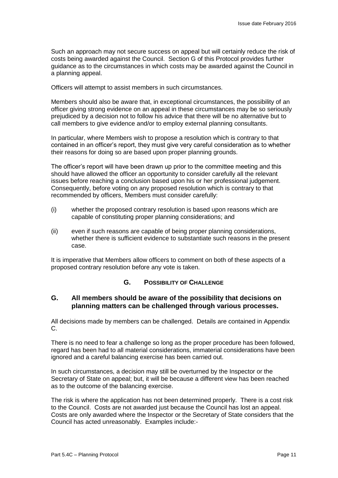Such an approach may not secure success on appeal but will certainly reduce the risk of costs being awarded against the Council. Section G of this Protocol provides further guidance as to the circumstances in which costs may be awarded against the Council in a planning appeal.

Officers will attempt to assist members in such circumstances.

Members should also be aware that, in exceptional circumstances, the possibility of an officer giving strong evidence on an appeal in these circumstances may be so seriously prejudiced by a decision not to follow his advice that there will be no alternative but to call members to give evidence and/or to employ external planning consultants.

In particular, where Members wish to propose a resolution which is contrary to that contained in an officer's report, they must give very careful consideration as to whether their reasons for doing so are based upon proper planning grounds.

The officer's report will have been drawn up prior to the committee meeting and this should have allowed the officer an opportunity to consider carefully all the relevant issues before reaching a conclusion based upon his or her professional judgement. Consequently, before voting on any proposed resolution which is contrary to that recommended by officers, Members must consider carefully:

- (i) whether the proposed contrary resolution is based upon reasons which are capable of constituting proper planning considerations; and
- (ii) even if such reasons are capable of being proper planning considerations, whether there is sufficient evidence to substantiate such reasons in the present case.

It is imperative that Members allow officers to comment on both of these aspects of a proposed contrary resolution before any vote is taken.

#### **G. POSSIBILITY OF CHALLENGE**

#### **G. All members should be aware of the possibility that decisions on planning matters can be challenged through various processes.**

All decisions made by members can be challenged. Details are contained in Appendix C.

There is no need to fear a challenge so long as the proper procedure has been followed, regard has been had to all material considerations, immaterial considerations have been ignored and a careful balancing exercise has been carried out.

In such circumstances, a decision may still be overturned by the Inspector or the Secretary of State on appeal; but, it will be because a different view has been reached as to the outcome of the balancing exercise.

The risk is where the application has not been determined properly. There is a cost risk to the Council. Costs are not awarded just because the Council has lost an appeal. Costs are only awarded where the Inspector or the Secretary of State considers that the Council has acted unreasonably. Examples include:-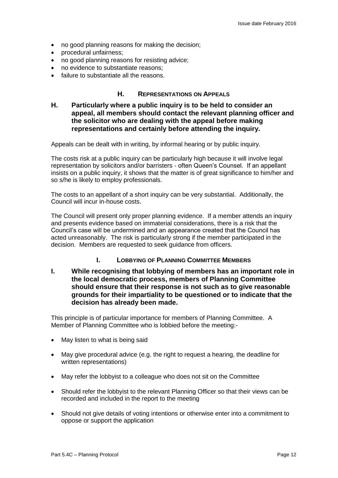- no good planning reasons for making the decision;
- procedural unfairness;
- no good planning reasons for resisting advice;
- no evidence to substantiate reasons:
- failure to substantiate all the reasons.

## **H. REPRESENTATIONS ON APPEALS**

**H. Particularly where a public inquiry is to be held to consider an appeal, all members should contact the relevant planning officer and the solicitor who are dealing with the appeal before making representations and certainly before attending the inquiry.**

Appeals can be dealt with in writing, by informal hearing or by public inquiry.

The costs risk at a public inquiry can be particularly high because it will involve legal representation by solicitors and/or barristers - often Queen's Counsel. If an appellant insists on a public inquiry, it shows that the matter is of great significance to him/her and so s/he is likely to employ professionals.

The costs to an appellant of a short inquiry can be very substantial. Additionally, the Council will incur in-house costs.

The Council will present only proper planning evidence. If a member attends an inquiry and presents evidence based on immaterial considerations, there is a risk that the Council's case will be undermined and an appearance created that the Council has acted unreasonably. The risk is particularly strong if the member participated in the decision. Members are requested to seek guidance from officers.

#### **I. LOBBYING OF PLANNING COMMITTEE MEMBERS**

**I. While recognising that lobbying of members has an important role in the local democratic process, members of Planning Committee should ensure that their response is not such as to give reasonable grounds for their impartiality to be questioned or to indicate that the decision has already been made.**

This principle is of particular importance for members of Planning Committee. A Member of Planning Committee who is lobbied before the meeting:-

- May listen to what is being said
- May give procedural advice (e.g. the right to request a hearing, the deadline for written representations)
- May refer the lobbyist to a colleague who does not sit on the Committee
- Should refer the lobbyist to the relevant Planning Officer so that their views can be recorded and included in the report to the meeting
- Should not give details of voting intentions or otherwise enter into a commitment to oppose or support the application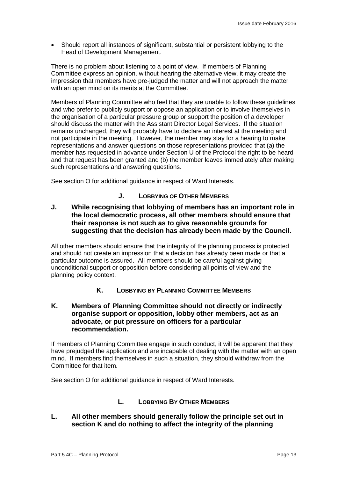Should report all instances of significant, substantial or persistent lobbying to the Head of Development Management.

There is no problem about listening to a point of view. If members of Planning Committee express an opinion, without hearing the alternative view, it may create the impression that members have pre-judged the matter and will not approach the matter with an open mind on its merits at the Committee.

Members of Planning Committee who feel that they are unable to follow these guidelines and who prefer to publicly support or oppose an application or to involve themselves in the organisation of a particular pressure group or support the position of a developer should discuss the matter with the Assistant Director Legal Services. If the situation remains unchanged, they will probably have to declare an interest at the meeting and not participate in the meeting. However, the member may stay for a hearing to make representations and answer questions on those representations provided that (a) the member has requested in advance under Section U of the Protocol the right to be heard and that request has been granted and (b) the member leaves immediately after making such representations and answering questions.

See section O for additional guidance in respect of Ward Interests.

## **J. LOBBYING OF OTHER MEMBERS**

**J. While recognising that lobbying of members has an important role in the local democratic process, all other members should ensure that their response is not such as to give reasonable grounds for suggesting that the decision has already been made by the Council.**

All other members should ensure that the integrity of the planning process is protected and should not create an impression that a decision has already been made or that a particular outcome is assured. All members should be careful against giving unconditional support or opposition before considering all points of view and the planning policy context.

## **K. LOBBYING BY PLANNING COMMITTEE MEMBERS**

## **K. Members of Planning Committee should not directly or indirectly organise support or opposition, lobby other members, act as an advocate, or put pressure on officers for a particular recommendation.**

If members of Planning Committee engage in such conduct, it will be apparent that they have prejudged the application and are incapable of dealing with the matter with an open mind. If members find themselves in such a situation, they should withdraw from the Committee for that item.

See section O for additional guidance in respect of Ward Interests.

## **L. LOBBYING BY OTHER MEMBERS**

## **L. All other members should generally follow the principle set out in section K and do nothing to affect the integrity of the planning**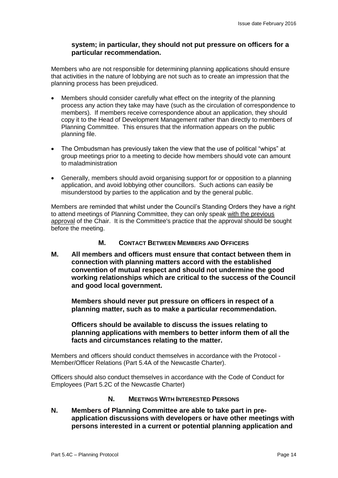## **system; in particular, they should not put pressure on officers for a particular recommendation.**

Members who are not responsible for determining planning applications should ensure that activities in the nature of lobbying are not such as to create an impression that the planning process has been prejudiced.

- Members should consider carefully what effect on the integrity of the planning process any action they take may have (such as the circulation of correspondence to members). If members receive correspondence about an application, they should copy it to the Head of Development Management rather than directly to members of Planning Committee. This ensures that the information appears on the public planning file.
- The Ombudsman has previously taken the view that the use of political "whips" at group meetings prior to a meeting to decide how members should vote can amount to maladministration
- Generally, members should avoid organising support for or opposition to a planning application, and avoid lobbying other councillors. Such actions can easily be misunderstood by parties to the application and by the general public.

Members are reminded that whilst under the Council's Standing Orders they have a right to attend meetings of Planning Committee, they can only speak with the previous approval of the Chair. It is the Committee's practice that the approval should be sought before the meeting.

## **M. CONTACT BETWEEN MEMBERS AND OFFICERS**

**M. All members and officers must ensure that contact between them in connection with planning matters accord with the established convention of mutual respect and should not undermine the good working relationships which are critical to the success of the Council and good local government.**

**Members should never put pressure on officers in respect of a planning matter, such as to make a particular recommendation.**

**Officers should be available to discuss the issues relating to planning applications with members to better inform them of all the facts and circumstances relating to the matter.**

Members and officers should conduct themselves in accordance with the Protocol - Member/Officer Relations (Part 5.4A of the Newcastle Charter).

Officers should also conduct themselves in accordance with the Code of Conduct for Employees (Part 5.2C of the Newcastle Charter)

#### **N. MEETINGS WITH INTERESTED PERSONS**

**N. Members of Planning Committee are able to take part in preapplication discussions with developers or have other meetings with persons interested in a current or potential planning application and**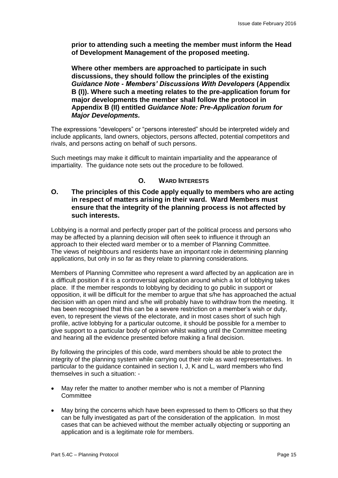**prior to attending such a meeting the member must inform the Head of Development Management of the proposed meeting.** 

**Where other members are approached to participate in such discussions, they should follow the principles of the existing** *Guidance Note - Members' Discussions With Developers* **(Appendix B (I)). Where such a meeting relates to the pre-application forum for major developments the member shall follow the protocol in Appendix B (II) entitled** *Guidance Note: Pre-Application forum for Major Developments.*

The expressions "developers" or "persons interested" should be interpreted widely and include applicants, land owners, objectors, persons affected, potential competitors and rivals, and persons acting on behalf of such persons.

Such meetings may make it difficult to maintain impartiality and the appearance of impartiality. The guidance note sets out the procedure to be followed.

## **O. WARD INTERESTS**

## **O. The principles of this Code apply equally to members who are acting in respect of matters arising in their ward. Ward Members must ensure that the integrity of the planning process is not affected by such interests.**

Lobbying is a normal and perfectly proper part of the political process and persons who may be affected by a planning decision will often seek to influence it through an approach to their elected ward member or to a member of Planning Committee. The views of neighbours and residents have an important role in determining planning applications, but only in so far as they relate to planning considerations.

Members of Planning Committee who represent a ward affected by an application are in a difficult position if it is a controversial application around which a lot of lobbying takes place. If the member responds to lobbying by deciding to go public in support or opposition, it will be difficult for the member to argue that s/he has approached the actual decision with an open mind and s/he will probably have to withdraw from the meeting. It has been recognised that this can be a severe restriction on a member's wish or duty, even, to represent the views of the electorate, and in most cases short of such high profile, active lobbying for a particular outcome, it should be possible for a member to give support to a particular body of opinion whilst waiting until the Committee meeting and hearing all the evidence presented before making a final decision.

By following the principles of this code, ward members should be able to protect the integrity of the planning system while carrying out their role as ward representatives. In particular to the guidance contained in section I, J, K and L, ward members who find themselves in such a situation: -

- May refer the matter to another member who is not a member of Planning **Committee**
- May bring the concerns which have been expressed to them to Officers so that they can be fully investigated as part of the consideration of the application. In most cases that can be achieved without the member actually objecting or supporting an application and is a legitimate role for members.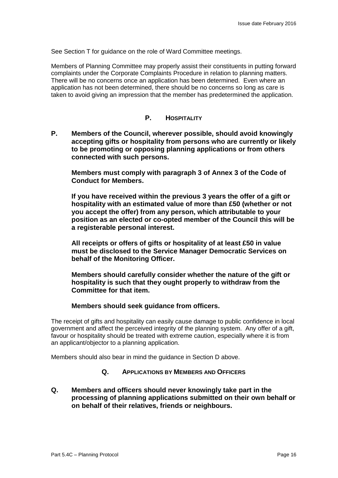See Section T for guidance on the role of Ward Committee meetings.

Members of Planning Committee may properly assist their constituents in putting forward complaints under the Corporate Complaints Procedure in relation to planning matters. There will be no concerns once an application has been determined. Even where an application has not been determined, there should be no concerns so long as care is taken to avoid giving an impression that the member has predetermined the application.

## **P. HOSPITALITY**

**P. Members of the Council, wherever possible, should avoid knowingly accepting gifts or hospitality from persons who are currently or likely to be promoting or opposing planning applications or from others connected with such persons.** 

**Members must comply with paragraph 3 of Annex 3 of the Code of Conduct for Members.**

**If you have received within the previous 3 years the offer of a gift or hospitality with an estimated value of more than £50 (whether or not you accept the offer) from any person, which attributable to your position as an elected or co-opted member of the Council this will be a registerable personal interest.**

**All receipts or offers of gifts or hospitality of at least £50 in value must be disclosed to the Service Manager Democratic Services on behalf of the Monitoring Officer.**

**Members should carefully consider whether the nature of the gift or hospitality is such that they ought properly to withdraw from the Committee for that item.** 

#### **Members should seek guidance from officers.**

The receipt of gifts and hospitality can easily cause damage to public confidence in local government and affect the perceived integrity of the planning system. Any offer of a gift, favour or hospitality should be treated with extreme caution, especially where it is from an applicant/objector to a planning application.

Members should also bear in mind the guidance in Section D above.

#### **Q. APPLICATIONS BY MEMBERS AND OFFICERS**

**Q. Members and officers should never knowingly take part in the processing of planning applications submitted on their own behalf or on behalf of their relatives, friends or neighbours.**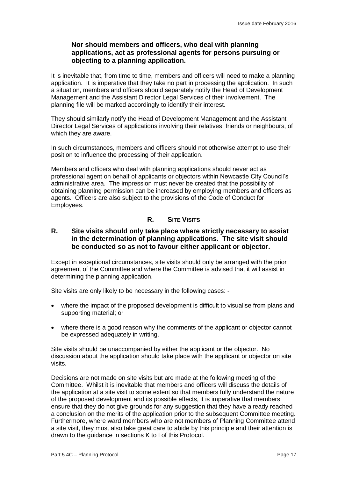## **Nor should members and officers, who deal with planning applications, act as professional agents for persons pursuing or objecting to a planning application.**

It is inevitable that, from time to time, members and officers will need to make a planning application. It is imperative that they take no part in processing the application. In such a situation, members and officers should separately notify the Head of Development Management and the Assistant Director Legal Services of their involvement. The planning file will be marked accordingly to identify their interest.

They should similarly notify the Head of Development Management and the Assistant Director Legal Services of applications involving their relatives, friends or neighbours, of which they are aware.

In such circumstances, members and officers should not otherwise attempt to use their position to influence the processing of their application.

Members and officers who deal with planning applications should never act as professional agent on behalf of applicants or objectors within Newcastle City Council's administrative area. The impression must never be created that the possibility of obtaining planning permission can be increased by employing members and officers as agents. Officers are also subject to the provisions of the Code of Conduct for Employees.

## **R. SITE VISITS**

## **R. Site visits should only take place where strictly necessary to assist in the determination of planning applications. The site visit should be conducted so as not to favour either applicant or objector.**

Except in exceptional circumstances, site visits should only be arranged with the prior agreement of the Committee and where the Committee is advised that it will assist in determining the planning application.

Site visits are only likely to be necessary in the following cases: -

- where the impact of the proposed development is difficult to visualise from plans and supporting material; or
- where there is a good reason why the comments of the applicant or objector cannot be expressed adequately in writing.

Site visits should be unaccompanied by either the applicant or the objector. No discussion about the application should take place with the applicant or objector on site visits.

Decisions are not made on site visits but are made at the following meeting of the Committee. Whilst it is inevitable that members and officers will discuss the details of the application at a site visit to some extent so that members fully understand the nature of the proposed development and its possible effects, it is imperative that members ensure that they do not give grounds for any suggestion that they have already reached a conclusion on the merits of the application prior to the subsequent Committee meeting. Furthermore, where ward members who are not members of Planning Committee attend a site visit, they must also take great care to abide by this principle and their attention is drawn to the guidance in sections K to l of this Protocol.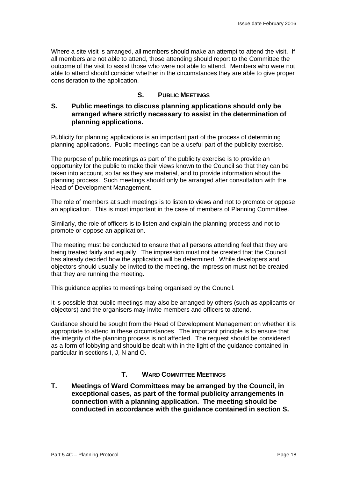Where a site visit is arranged, all members should make an attempt to attend the visit. If all members are not able to attend, those attending should report to the Committee the outcome of the visit to assist those who were not able to attend. Members who were not able to attend should consider whether in the circumstances they are able to give proper consideration to the application.

## **S. PUBLIC MEETINGS**

## **S. Public meetings to discuss planning applications should only be arranged where strictly necessary to assist in the determination of planning applications.**

Publicity for planning applications is an important part of the process of determining planning applications. Public meetings can be a useful part of the publicity exercise.

The purpose of public meetings as part of the publicity exercise is to provide an opportunity for the public to make their views known to the Council so that they can be taken into account, so far as they are material, and to provide information about the planning process. Such meetings should only be arranged after consultation with the Head of Development Management.

The role of members at such meetings is to listen to views and not to promote or oppose an application. This is most important in the case of members of Planning Committee.

Similarly, the role of officers is to listen and explain the planning process and not to promote or oppose an application.

The meeting must be conducted to ensure that all persons attending feel that they are being treated fairly and equally. The impression must not be created that the Council has already decided how the application will be determined. While developers and objectors should usually be invited to the meeting, the impression must not be created that they are running the meeting.

This guidance applies to meetings being organised by the Council.

It is possible that public meetings may also be arranged by others (such as applicants or objectors) and the organisers may invite members and officers to attend.

Guidance should be sought from the Head of Development Management on whether it is appropriate to attend in these circumstances. The important principle is to ensure that the integrity of the planning process is not affected. The request should be considered as a form of lobbying and should be dealt with in the light of the guidance contained in particular in sections I, J, N and O.

## **T. WARD COMMITTEE MEETINGS**

**T. Meetings of Ward Committees may be arranged by the Council, in exceptional cases, as part of the formal publicity arrangements in connection with a planning application. The meeting should be conducted in accordance with the guidance contained in section S.**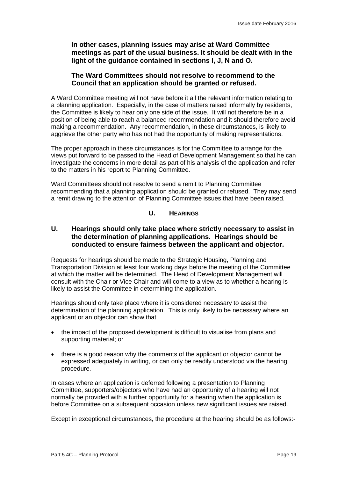**In other cases, planning issues may arise at Ward Committee meetings as part of the usual business. It should be dealt with in the light of the guidance contained in sections I, J, N and O.**

## **The Ward Committees should not resolve to recommend to the Council that an application should be granted or refused.**

A Ward Committee meeting will not have before it all the relevant information relating to a planning application. Especially, in the case of matters raised informally by residents, the Committee is likely to hear only one side of the issue. It will not therefore be in a position of being able to reach a balanced recommendation and it should therefore avoid making a recommendation. Any recommendation, in these circumstances, is likely to aggrieve the other party who has not had the opportunity of making representations.

The proper approach in these circumstances is for the Committee to arrange for the views put forward to be passed to the Head of Development Management so that he can investigate the concerns in more detail as part of his analysis of the application and refer to the matters in his report to Planning Committee.

Ward Committees should not resolve to send a remit to Planning Committee recommending that a planning application should be granted or refused. They may send a remit drawing to the attention of Planning Committee issues that have been raised.

## **U. HEARINGS**

## **U. Hearings should only take place where strictly necessary to assist in the determination of planning applications. Hearings should be conducted to ensure fairness between the applicant and objector.**

Requests for hearings should be made to the Strategic Housing, Planning and Transportation Division at least four working days before the meeting of the Committee at which the matter will be determined. The Head of Development Management will consult with the Chair or Vice Chair and will come to a view as to whether a hearing is likely to assist the Committee in determining the application.

Hearings should only take place where it is considered necessary to assist the determination of the planning application. This is only likely to be necessary where an applicant or an objector can show that

- the impact of the proposed development is difficult to visualise from plans and supporting material; or
- there is a good reason why the comments of the applicant or objector cannot be expressed adequately in writing, or can only be readily understood via the hearing procedure.

In cases where an application is deferred following a presentation to Planning Committee, supporters/objectors who have had an opportunity of a hearing will not normally be provided with a further opportunity for a hearing when the application is before Committee on a subsequent occasion unless new significant issues are raised.

Except in exceptional circumstances, the procedure at the hearing should be as follows:-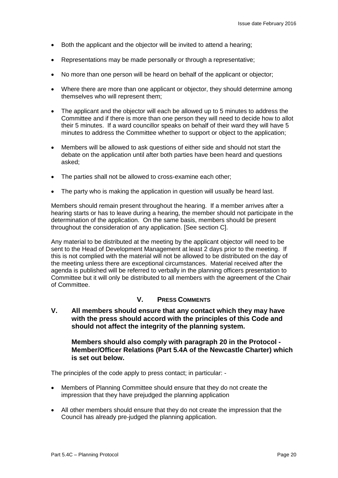- Both the applicant and the objector will be invited to attend a hearing;
- Representations may be made personally or through a representative;
- No more than one person will be heard on behalf of the applicant or objector;
- Where there are more than one applicant or objector, they should determine among themselves who will represent them;
- The applicant and the objector will each be allowed up to 5 minutes to address the Committee and if there is more than one person they will need to decide how to allot their 5 minutes. If a ward councillor speaks on behalf of their ward they will have 5 minutes to address the Committee whether to support or object to the application;
- Members will be allowed to ask questions of either side and should not start the debate on the application until after both parties have been heard and questions asked;
- The parties shall not be allowed to cross-examine each other;
- The party who is making the application in question will usually be heard last.

Members should remain present throughout the hearing. If a member arrives after a hearing starts or has to leave during a hearing, the member should not participate in the determination of the application. On the same basis, members should be present throughout the consideration of any application. [See section C].

Any material to be distributed at the meeting by the applicant objector will need to be sent to the Head of Development Management at least 2 days prior to the meeting. If this is not complied with the material will not be allowed to be distributed on the day of the meeting unless there are exceptional circumstances. Material received after the agenda is published will be referred to verbally in the planning officers presentation to Committee but it will only be distributed to all members with the agreement of the Chair of Committee.

## **V. PRESS COMMENTS**

**V. All members should ensure that any contact which they may have with the press should accord with the principles of this Code and should not affect the integrity of the planning system.**

#### **Members should also comply with paragraph 20 in the Protocol - Member/Officer Relations (Part 5.4A of the Newcastle Charter) which is set out below.**

The principles of the code apply to press contact; in particular: -

- Members of Planning Committee should ensure that they do not create the impression that they have prejudged the planning application
- All other members should ensure that they do not create the impression that the Council has already pre-judged the planning application.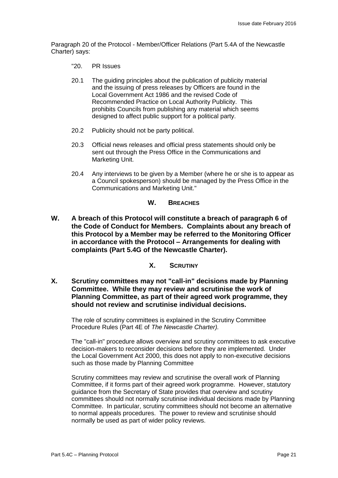Paragraph 20 of the Protocol - Member/Officer Relations (Part 5.4A of the Newcastle Charter) says:

- "20. PR Issues
- 20.1 The guiding principles about the publication of publicity material and the issuing of press releases by Officers are found in the Local Government Act 1986 and the revised Code of Recommended Practice on Local Authority Publicity. This prohibits Councils from publishing any material which seems designed to affect public support for a political party.
- 20.2 Publicity should not be party political.
- 20.3 Official news releases and official press statements should only be sent out through the Press Office in the Communications and Marketing Unit.
- 20.4 Any interviews to be given by a Member (where he or she is to appear as a Council spokesperson) should be managed by the Press Office in the Communications and Marketing Unit."

#### **W. BREACHES**

- **W. A breach of this Protocol will constitute a breach of paragraph 6 of the Code of Conduct for Members. Complaints about any breach of this Protocol by a Member may be referred to the Monitoring Officer in accordance with the Protocol – Arrangements for dealing with complaints (Part 5.4G of the Newcastle Charter).** 
	- **X. SCRUTINY**
- **X. Scrutiny committees may not "call-in" decisions made by Planning Committee. While they may review and scrutinise the work of Planning Committee, as part of their agreed work programme, they should not review and scrutinise individual decisions.**

The role of scrutiny committees is explained in the Scrutiny Committee Procedure Rules (Part 4E of *The Newcastle Charter).*

The "call-in" procedure allows overview and scrutiny committees to ask executive decision-makers to reconsider decisions before they are implemented. Under the Local Government Act 2000, this does not apply to non-executive decisions such as those made by Planning Committee

Scrutiny committees may review and scrutinise the overall work of Planning Committee, if it forms part of their agreed work programme. However, statutory guidance from the Secretary of State provides that overview and scrutiny committees should not normally scrutinise individual decisions made by Planning Committee. In particular, scrutiny committees should not become an alternative to normal appeals procedures. The power to review and scrutinise should normally be used as part of wider policy reviews.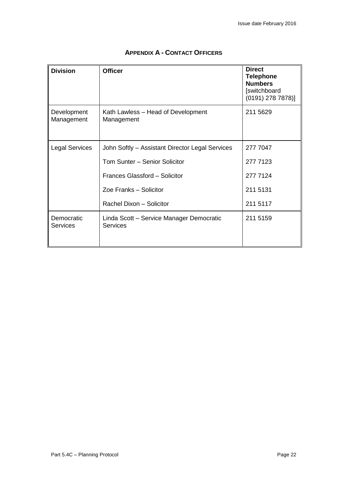| <b>Division</b>               | <b>Officer</b>                                              | <b>Direct</b><br><b>Telephone</b><br><b>Numbers</b><br>[switchboard<br>$(0191)$ 278 7878)] |
|-------------------------------|-------------------------------------------------------------|--------------------------------------------------------------------------------------------|
| Development<br>Management     | Kath Lawless – Head of Development<br>Management            | 211 5629                                                                                   |
| <b>Legal Services</b>         | John Softly - Assistant Director Legal Services             | 277 7047                                                                                   |
|                               | Tom Sunter - Senior Solicitor                               | 277 7123                                                                                   |
|                               | Frances Glassford - Solicitor                               | 277 7124                                                                                   |
|                               | Zoe Franks - Solicitor                                      | 211 5131                                                                                   |
|                               | Rachel Dixon - Solicitor                                    | 211 5117                                                                                   |
| Democratic<br><b>Services</b> | Linda Scott – Service Manager Democratic<br><b>Services</b> | 211 5159                                                                                   |

## **APPENDIX A - CONTACT OFFICERS**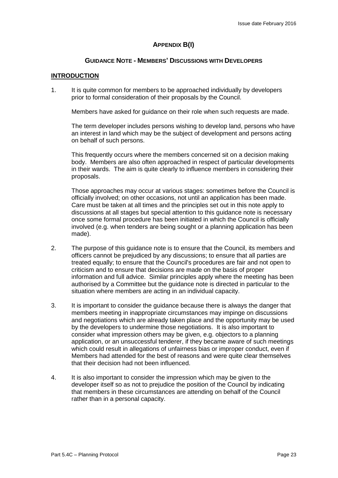## **APPENDIX B(I)**

#### **GUIDANCE NOTE - MEMBERS' DISCUSSIONS WITH DEVELOPERS**

#### **INTRODUCTION**

1. It is quite common for members to be approached individually by developers prior to formal consideration of their proposals by the Council.

Members have asked for guidance on their role when such requests are made.

The term developer includes persons wishing to develop land, persons who have an interest in land which may be the subject of development and persons acting on behalf of such persons.

This frequently occurs where the members concerned sit on a decision making body. Members are also often approached in respect of particular developments in their wards. The aim is quite clearly to influence members in considering their proposals.

Those approaches may occur at various stages: sometimes before the Council is officially involved; on other occasions, not until an application has been made. Care must be taken at all times and the principles set out in this note apply to discussions at all stages but special attention to this guidance note is necessary once some formal procedure has been initiated in which the Council is officially involved (e.g. when tenders are being sought or a planning application has been made).

- 2. The purpose of this guidance note is to ensure that the Council, its members and officers cannot be prejudiced by any discussions; to ensure that all parties are treated equally; to ensure that the Council's procedures are fair and not open to criticism and to ensure that decisions are made on the basis of proper information and full advice. Similar principles apply where the meeting has been authorised by a Committee but the guidance note is directed in particular to the situation where members are acting in an individual capacity.
- 3. It is important to consider the guidance because there is always the danger that members meeting in inappropriate circumstances may impinge on discussions and negotiations which are already taken place and the opportunity may be used by the developers to undermine those negotiations. It is also important to consider what impression others may be given, e.g. objectors to a planning application, or an unsuccessful tenderer, if they became aware of such meetings which could result in allegations of unfairness bias or improper conduct, even if Members had attended for the best of reasons and were quite clear themselves that their decision had not been influenced.
- 4. It is also important to consider the impression which may be given to the developer itself so as not to prejudice the position of the Council by indicating that members in these circumstances are attending on behalf of the Council rather than in a personal capacity.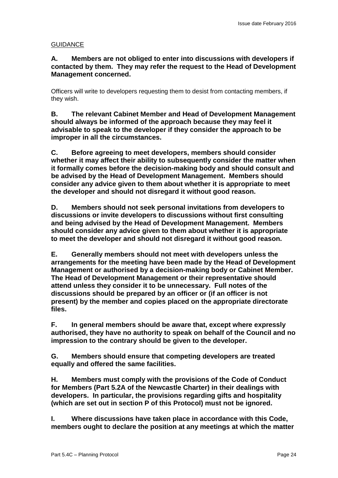## **GUIDANCE**

## **A. Members are not obliged to enter into discussions with developers if contacted by them. They may refer the request to the Head of Development Management concerned.**

Officers will write to developers requesting them to desist from contacting members, if they wish.

**B. The relevant Cabinet Member and Head of Development Management should always be informed of the approach because they may feel it advisable to speak to the developer if they consider the approach to be improper in all the circumstances.**

**C. Before agreeing to meet developers, members should consider whether it may affect their ability to subsequently consider the matter when it formally comes before the decision-making body and should consult and be advised by the Head of Development Management. Members should consider any advice given to them about whether it is appropriate to meet the developer and should not disregard it without good reason.**

**D. Members should not seek personal invitations from developers to discussions or invite developers to discussions without first consulting and being advised by the Head of Development Management. Members should consider any advice given to them about whether it is appropriate to meet the developer and should not disregard it without good reason.**

**E. Generally members should not meet with developers unless the arrangements for the meeting have been made by the Head of Development Management or authorised by a decision-making body or Cabinet Member. The Head of Development Management or their representative should attend unless they consider it to be unnecessary. Full notes of the discussions should be prepared by an officer or (if an officer is not present) by the member and copies placed on the appropriate directorate files.**

**F. In general members should be aware that, except where expressly authorised, they have no authority to speak on behalf of the Council and no impression to the contrary should be given to the developer.**

**G. Members should ensure that competing developers are treated equally and offered the same facilities.**

**H. Members must comply with the provisions of the Code of Conduct for Members (Part 5.2A of the Newcastle Charter) in their dealings with developers. In particular, the provisions regarding gifts and hospitality (which are set out in section P of this Protocol) must not be ignored.**

**I. Where discussions have taken place in accordance with this Code, members ought to declare the position at any meetings at which the matter**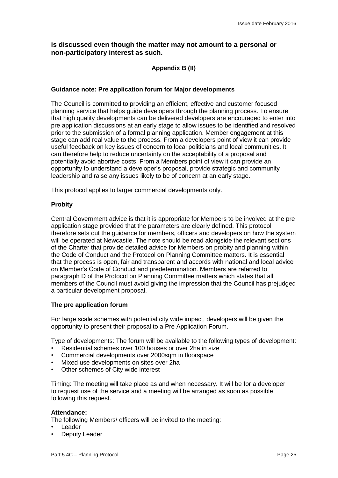### **is discussed even though the matter may not amount to a personal or non-participatory interest as such.**

## **Appendix B (II)**

#### **Guidance note: Pre application forum for Major developments**

The Council is committed to providing an efficient, effective and customer focused planning service that helps guide developers through the planning process. To ensure that high quality developments can be delivered developers are encouraged to enter into pre application discussions at an early stage to allow issues to be identified and resolved prior to the submission of a formal planning application. Member engagement at this stage can add real value to the process. From a developers point of view it can provide useful feedback on key issues of concern to local politicians and local communities. It can therefore help to reduce uncertainty on the acceptability of a proposal and potentially avoid abortive costs. From a Members point of view it can provide an opportunity to understand a developer's proposal, provide strategic and community leadership and raise any issues likely to be of concern at an early stage.

This protocol applies to larger commercial developments only.

#### **Probity**

Central Government advice is that it is appropriate for Members to be involved at the pre application stage provided that the parameters are clearly defined. This protocol therefore sets out the guidance for members, officers and developers on how the system will be operated at Newcastle. The note should be read alongside the relevant sections of the Charter that provide detailed advice for Members on probity and planning within the Code of Conduct and the Protocol on Planning Committee matters. It is essential that the process is open, fair and transparent and accords with national and local advice on Member's Code of Conduct and predetermination. Members are referred to paragraph D of the Protocol on Planning Committee matters which states that all members of the Council must avoid giving the impression that the Council has prejudged a particular development proposal.

#### **The pre application forum**

For large scale schemes with potential city wide impact, developers will be given the opportunity to present their proposal to a Pre Application Forum.

Type of developments: The forum will be available to the following types of development:

- Residential schemes over 100 houses or over 2ha in size
- Commercial developments over 2000sqm in floorspace
- Mixed use developments on sites over 2ha
- Other schemes of City wide interest

Timing: The meeting will take place as and when necessary. It will be for a developer to request use of the service and a meeting will be arranged as soon as possible following this request.

#### **Attendance:**

The following Members/ officers will be invited to the meeting:

- Leader
- Deputy Leader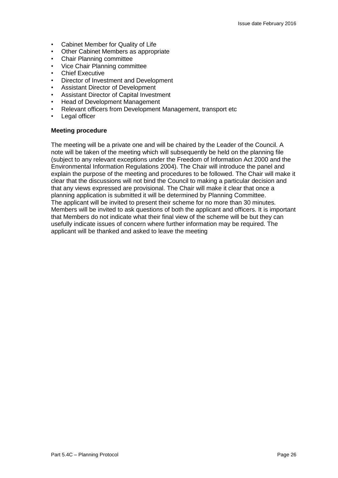- Cabinet Member for Quality of Life
- Other Cabinet Members as appropriate
- Chair Planning committee
- Vice Chair Planning committee
- **Chief Executive**
- Director of Investment and Development
- Assistant Director of Development
- Assistant Director of Capital Investment
- Head of Development Management
- Relevant officers from Development Management, transport etc
- Legal officer

#### **Meeting procedure**

The meeting will be a private one and will be chaired by the Leader of the Council. A note will be taken of the meeting which will subsequently be held on the planning file (subject to any relevant exceptions under the Freedom of Information Act 2000 and the Environmental Information Regulations 2004). The Chair will introduce the panel and explain the purpose of the meeting and procedures to be followed. The Chair will make it clear that the discussions will not bind the Council to making a particular decision and that any views expressed are provisional. The Chair will make it clear that once a planning application is submitted it will be determined by Planning Committee. The applicant will be invited to present their scheme for no more than 30 minutes. Members will be invited to ask questions of both the applicant and officers. It is important that Members do not indicate what their final view of the scheme will be but they can usefully indicate issues of concern where further information may be required. The applicant will be thanked and asked to leave the meeting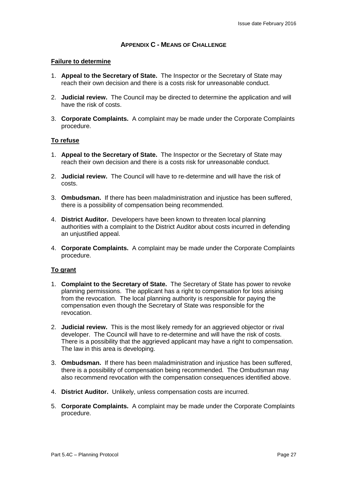## **APPENDIX C - MEANS OF CHALLENGE**

#### **Failure to determine**

- 1. **Appeal to the Secretary of State.** The Inspector or the Secretary of State may reach their own decision and there is a costs risk for unreasonable conduct.
- 2. **Judicial review.** The Council may be directed to determine the application and will have the risk of costs.
- 3. **Corporate Complaints.** A complaint may be made under the Corporate Complaints procedure.

#### **To refuse**

- 1. **Appeal to the Secretary of State.** The Inspector or the Secretary of State may reach their own decision and there is a costs risk for unreasonable conduct.
- 2. **Judicial review.** The Council will have to re-determine and will have the risk of costs.
- 3. **Ombudsman.** If there has been maladministration and injustice has been suffered, there is a possibility of compensation being recommended.
- 4. **District Auditor.** Developers have been known to threaten local planning authorities with a complaint to the District Auditor about costs incurred in defending an unjustified appeal.
- 4. **Corporate Complaints.** A complaint may be made under the Corporate Complaints procedure.

#### **To grant**

- 1. **Complaint to the Secretary of State.** The Secretary of State has power to revoke planning permissions. The applicant has a right to compensation for loss arising from the revocation. The local planning authority is responsible for paying the compensation even though the Secretary of State was responsible for the revocation.
- 2. **Judicial review.** This is the most likely remedy for an aggrieved objector or rival developer. The Council will have to re-determine and will have the risk of costs. There is a possibility that the aggrieved applicant may have a right to compensation. The law in this area is developing.
- 3. **Ombudsman.** If there has been maladministration and injustice has been suffered, there is a possibility of compensation being recommended. The Ombudsman may also recommend revocation with the compensation consequences identified above.
- 4. **District Auditor.** Unlikely, unless compensation costs are incurred.
- 5. **Corporate Complaints.** A complaint may be made under the Corporate Complaints procedure.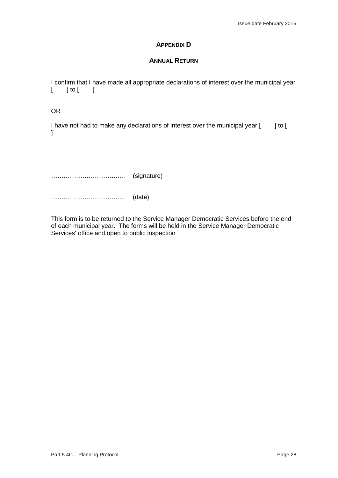## **APPENDIX D**

#### **ANNUAL RETURN**

I confirm that I have made all appropriate declarations of interest over the municipal year  $[$   $]$  to  $[$   $]$ 

OR

I have not had to make any declarations of interest over the municipal year [ ] to [  $\mathbf{l}$ 

……………………………… (signature)

……………………………… (date)

This form is to be returned to the Service Manager Democratic Services before the end of each municipal year. The forms will be held in the Service Manager Democratic Services' office and open to public inspection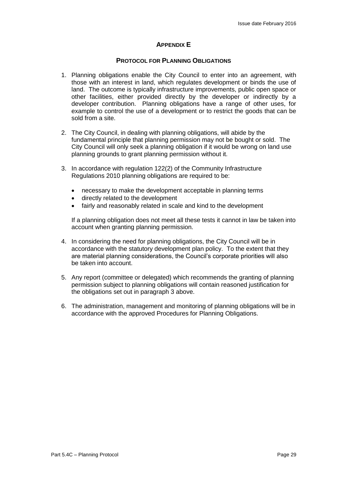## **APPENDIX E**

#### **PROTOCOL FOR PLANNING OBLIGATIONS**

- 1. Planning obligations enable the City Council to enter into an agreement, with those with an interest in land, which regulates development or binds the use of land. The outcome is typically infrastructure improvements, public open space or other facilities, either provided directly by the developer or indirectly by a developer contribution. Planning obligations have a range of other uses, for example to control the use of a development or to restrict the goods that can be sold from a site.
- 2. The City Council, in dealing with planning obligations, will abide by the fundamental principle that planning permission may not be bought or sold. The City Council will only seek a planning obligation if it would be wrong on land use planning grounds to grant planning permission without it.
- 3. In accordance with regulation 122(2) of the Community Infrastructure Regulations 2010 planning obligations are required to be:
	- necessary to make the development acceptable in planning terms
	- directly related to the development
	- fairly and reasonably related in scale and kind to the development

If a planning obligation does not meet all these tests it cannot in law be taken into account when granting planning permission.

- 4. In considering the need for planning obligations, the City Council will be in accordance with the statutory development plan policy. To the extent that they are material planning considerations, the Council's corporate priorities will also be taken into account.
- 5. Any report (committee or delegated) which recommends the granting of planning permission subject to planning obligations will contain reasoned justification for the obligations set out in paragraph 3 above.
- 6. The administration, management and monitoring of planning obligations will be in accordance with the approved Procedures for Planning Obligations.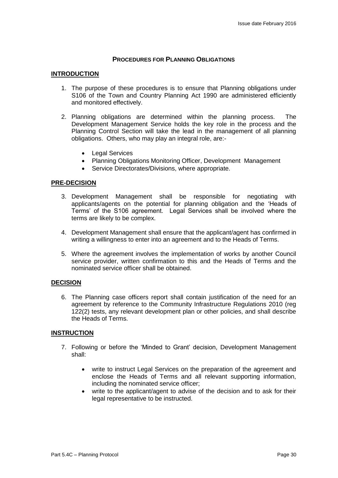#### **PROCEDURES FOR PLANNING OBLIGATIONS**

#### **INTRODUCTION**

- 1. The purpose of these procedures is to ensure that Planning obligations under S106 of the Town and Country Planning Act 1990 are administered efficiently and monitored effectively.
- 2. Planning obligations are determined within the planning process. The Development Management Service holds the key role in the process and the Planning Control Section will take the lead in the management of all planning obligations. Others, who may play an integral role, are:-
	- Legal Services
	- Planning Obligations Monitoring Officer, Development Management
	- Service Directorates/Divisions, where appropriate.

#### **PRE-DECISION**

- 3. Development Management shall be responsible for negotiating with applicants/agents on the potential for planning obligation and the 'Heads of Terms' of the S106 agreement. Legal Services shall be involved where the terms are likely to be complex.
- 4. Development Management shall ensure that the applicant/agent has confirmed in writing a willingness to enter into an agreement and to the Heads of Terms.
- 5. Where the agreement involves the implementation of works by another Council service provider, written confirmation to this and the Heads of Terms and the nominated service officer shall be obtained.

#### **DECISION**

6. The Planning case officers report shall contain justification of the need for an agreement by reference to the Community Infrastructure Regulations 2010 (reg 122(2) tests, any relevant development plan or other policies, and shall describe the Heads of Terms.

#### **INSTRUCTION**

- 7. Following or before the 'Minded to Grant' decision, Development Management shall:
	- write to instruct Legal Services on the preparation of the agreement and enclose the Heads of Terms and all relevant supporting information, including the nominated service officer;
	- write to the applicant/agent to advise of the decision and to ask for their legal representative to be instructed.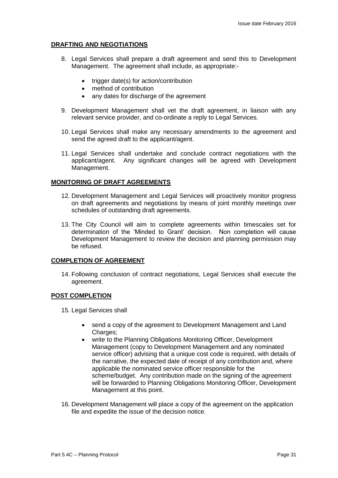#### **DRAFTING AND NEGOTIATIONS**

- 8. Legal Services shall prepare a draft agreement and send this to Development Management. The agreement shall include, as appropriate:-
	- trigger date(s) for action/contribution
	- method of contribution
	- any dates for discharge of the agreement
- 9. Development Management shall vet the draft agreement, in liaison with any relevant service provider, and co-ordinate a reply to Legal Services.
- 10. Legal Services shall make any necessary amendments to the agreement and send the agreed draft to the applicant/agent.
- 11. Legal Services shall undertake and conclude contract negotiations with the applicant/agent. Any significant changes will be agreed with Development Management.

#### **MONITORING OF DRAFT AGREEMENTS**

- 12. Development Management and Legal Services will proactively monitor progress on draft agreements and negotiations by means of joint monthly meetings over schedules of outstanding draft agreements.
- 13. The City Council will aim to complete agreements within timescales set for determination of the 'Minded to Grant' decision. Non completion will cause Development Management to review the decision and planning permission may be refused.

#### **COMPLETION OF AGREEMENT**

14. Following conclusion of contract negotiations, Legal Services shall execute the agreement.

#### **POST COMPLETION**

- 15. Legal Services shall
	- send a copy of the agreement to Development Management and Land Charges;
	- write to the Planning Obligations Monitoring Officer, Development Management (copy to Development Management and any nominated service officer) advising that a unique cost code is required, with details of the narrative, the expected date of receipt of any contribution and, where applicable the nominated service officer responsible for the scheme/budget. Any contribution made on the signing of the agreement will be forwarded to Planning Obligations Monitoring Officer, Development Management at this point.
- 16. Development Management will place a copy of the agreement on the application file and expedite the issue of the decision notice.